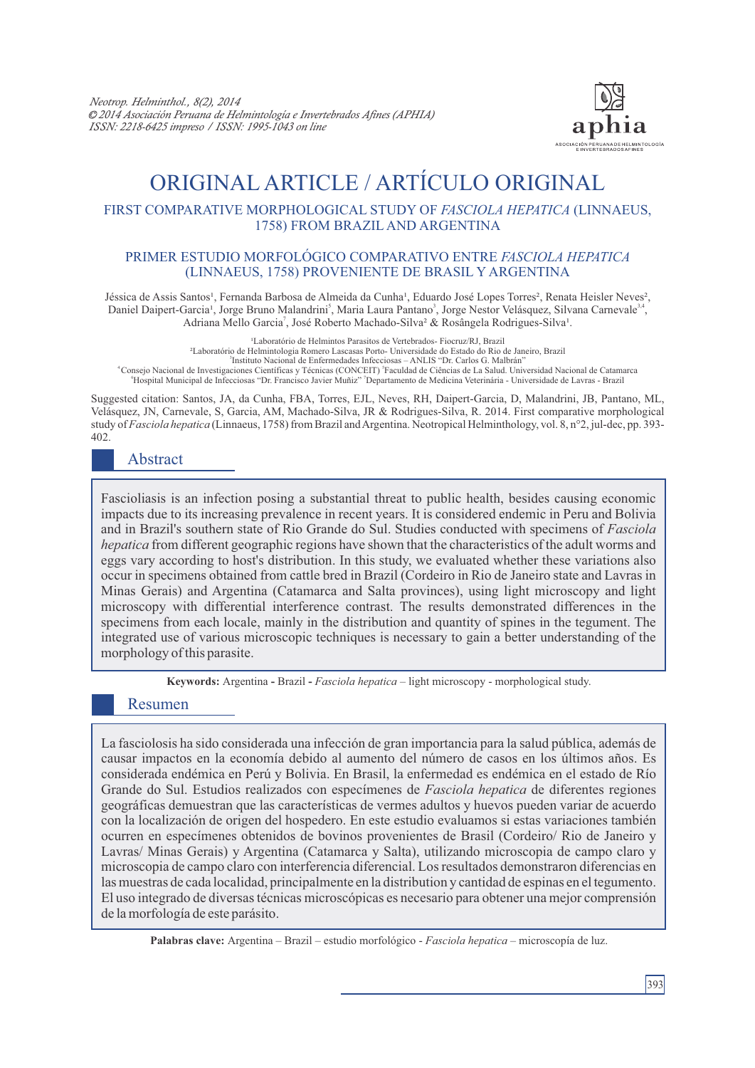

# ORIGINAL ARTICLE / ARTÍCULO ORIGINAL

#### FIRST COMPARATIVE MORPHOLOGICAL STUDY OF *FASCIOLA HEPATICA* (LINNAEUS, 1758) FROM BRAZIL AND ARGENTINA

#### PRIMER ESTUDIO MORFOLÓGICO COMPARATIVO ENTRE *FASCIOLA HEPATICA* (LINNAEUS, 1758) PROVENIENTE DE BRASIL Y ARGENTINA

Jéssica de Assis Santos<sup>1</sup>, Fernanda Barbosa de Almeida da Cunha<sup>1</sup>, Eduardo José Lopes Torres<sup>2</sup>, Renata Heisler Neves<sup>2</sup>, Daniel Daipert-Garcia<sup>1</sup>, Jorge Bruno Malandrini<sup>5</sup>, Maria Laura Pantano<sup>3</sup>, Jorge Nestor Velásquez, Silvana Carnevale<sup>3,4</sup>, Adriana Mello Garcia<sup>'</sup>, José Roberto Machado-Silva<sup>2</sup> & Rosângela Rodrigues-Silva<sup>1</sup>.

<sup>1</sup>Laboratório de Helmintos Parasitos de Vertebrados- Fiocruz/RJ, Brazil ²Laboratório de Helmintologia Romero Lascasas Porto- Universidade do Estado do Rio de Janeiro, Brazil 3 Instituto Nacional de Enfermedades Infecciosas – ANLIS "Dr. Carlos G. Malbrán" 4 5 Consejo Nacional de Investigaciones Científicas y Técnicas (CONCEIT) Faculdad de Ciências de La Salud. Universidad Nacional de Catamarca <sup>6</sup> <sup>7</sup> Hospital Municipal de Infecciosas "Dr. Francisco Javier Muñiz" Departamento de Medicina Veterinária - Universidade de Lavras - Brazil

Suggested citation: Santos, JA, da Cunha, FBA, Torres, EJL, Neves, RH, Daipert-Garcia, D, Malandrini, JB, Pantano, ML, Velásquez, JN, Carnevale, S, Garcia, AM, Machado-Silva, JR & Rodrigues-Silva, R. 2014. First comparative morphological study of *Fasciola hepatica* (Linnaeus, 1758) from Brazil and Argentina. Neotropical Helminthology, vol. 8, n°2, jul-dec, pp. 393- 402.

## Abstract

Fascioliasis is an infection posing a substantial threat to public health, besides causing economic impacts due to its increasing prevalence in recent years. It is considered endemic in Peru and Bolivia and in Brazil's southern state of Rio Grande do Sul. Studies conducted with specimens of *Fasciola hepatica* from different geographic regions have shown that the characteristics of the adult worms and eggs vary according to host's distribution. In this study, we evaluated whether these variations also occur in specimens obtained from cattle bred in Brazil (Cordeiro in Rio de Janeiro state and Lavras in Minas Gerais) and Argentina (Catamarca and Salta provinces), using light microscopy and light microscopy with differential interference contrast. The results demonstrated differences in the specimens from each locale, mainly in the distribution and quantity of spines in the tegument. The integrated use of various microscopic techniques is necessary to gain a better understanding of the morphology of this parasite.

**Keywords:** Argentina **-** Brazil **-** *Fasciola hepatica –* light microscopy - morphological study.

## Resumen

La fasciolosis ha sido considerada una infección de gran importancia para la salud pública, además de causar impactos en la economía debido al aumento del número de casos en los últimos años. Es considerada endémica en Perú y Bolivia. En Brasil, la enfermedad es endémica en el estado de Río Grande do Sul. Estudios realizados con especímenes de *Fasciola hepatica* de diferentes regiones geográficas demuestran que las características de vermes adultos y huevos pueden variar de acuerdo con la localización de origen del hospedero. En este estudio evaluamos si estas variaciones también ocurren en especímenes obtenidos de bovinos provenientes de Brasil (Cordeiro/ Rio de Janeiro y Lavras/ Minas Gerais) y Argentina (Catamarca y Salta), utilizando microscopia de campo claro y microscopia de campo claro con interferencia diferencial. Los resultados demonstraron diferencias en las muestras de cada localidad, principalmente en la distribution y cantidad de espinas en el tegumento. El uso integrado de diversas técnicas microscópicas es necesario para obtener una mejor comprensión de la morfología de este parásito.

**Palabras clave:** Argentina – Brazil – estudio morfológico - *Fasciola hepatica –* microscopía de luz.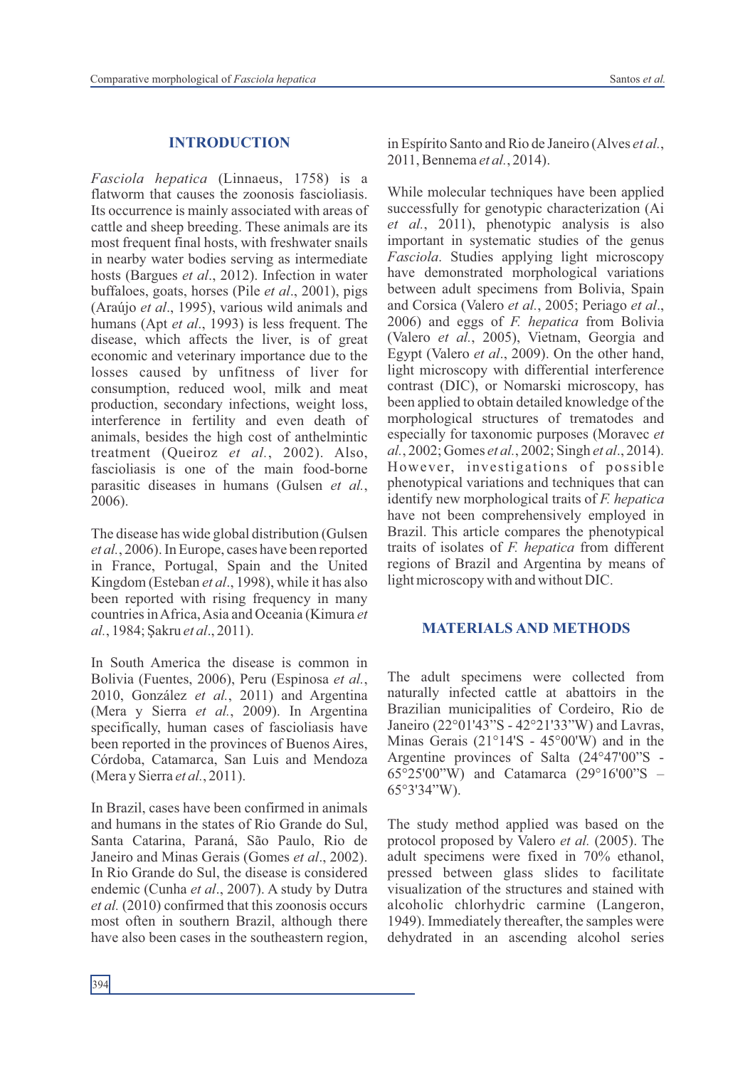#### **INTRODUCTION**

*Fasciola hepatica* (Linnaeus, 1758) is a flatworm that causes the zoonosis fascioliasis. Its occurrence is mainly associated with areas of cattle and sheep breeding. These animals are its most frequent final hosts, with freshwater snails in nearby water bodies serving as intermediate hosts (Bargues *et al*., 2012). Infection in water buffaloes, goats, horses (Pile *et al*., 2001), pigs (Araújo *et al*., 1995), various wild animals and humans (Apt *et al*., 1993) is less frequent. The disease, which affects the liver, is of great economic and veterinary importance due to the losses caused by unfitness of liver for consumption, reduced wool, milk and meat production, secondary infections, weight loss, interference in fertility and even death of animals, besides the high cost of anthelmintic treatment (Queiroz *et al.*, 2002). Also, fascioliasis is one of the main food-borne parasitic diseases in humans (Gulsen *et al.*, 2006).

The disease has wide global distribution (Gulsen *et al.*, 2006). In Europe, cases have been reported in France, Portugal, Spain and the United Kingdom (Esteban *et al*., 1998), while it has also been reported with rising frequency in many countries in Africa, Asia and Oceania (Kimura *et al.*, 1984; Şakru *et al*., 2011).

In South America the disease is common in Bolivia (Fuentes, 2006), Peru (Espinosa *et al.*, 2010, González *et al.*, 2011) and Argentina (Mera y Sierra *et al.*, 2009). In Argentina specifically, human cases of fascioliasis have been reported in the provinces of Buenos Aires, Córdoba, Catamarca, San Luis and Mendoza (Mera y Sierra *et al.*, 2011).

In Brazil, cases have been confirmed in animals and humans in the states of Rio Grande do Sul, Santa Catarina, Paraná, São Paulo, Rio de Janeiro and Minas Gerais (Gomes *et al*., 2002). In Rio Grande do Sul, the disease is considered endemic (Cunha *et al*., 2007). A study by Dutra *et al.* (2010) confirmed that this zoonosis occurs most often in southern Brazil, although there have also been cases in the southeastern region, in Espírito Santo and Rio de Janeiro (Alves *et al.*, 2011, Bennema *et al.*, 2014).

While molecular techniques have been applied successfully for genotypic characterization (Ai *et al.*, 2011), phenotypic analysis is also important in systematic studies of the genus *Fasciola*. Studies applying light microscopy have demonstrated morphological variations between adult specimens from Bolivia, Spain and Corsica (Valero *et al.*, 2005; Periago *et al*., 2006) and eggs of *F. hepatica* from Bolivia (Valero *et al.*, 2005), Vietnam, Georgia and Egypt (Valero *et al*., 2009). On the other hand, light microscopy with differential interference contrast (DIC), or Nomarski microscopy, has been applied to obtain detailed knowledge of the morphological structures of trematodes and especially for taxonomic purposes (Moravec *et al.*, 2002; Gomes *et al.*, 2002; Singh *et al*., 2014). However, investigations of possible phenotypical variations and techniques that can identify new morphological traits of *F. hepatica* have not been comprehensively employed in Brazil. This article compares the phenotypical traits of isolates of *F. hepatica* from different regions of Brazil and Argentina by means of light microscopy with and without DIC.

#### **MATERIALS AND METHODS**

The adult specimens were collected from naturally infected cattle at abattoirs in the Brazilian municipalities of Cordeiro, Rio de Janeiro (22°01'43"S - 42°21'33"W) and Lavras, Minas Gerais (21°14'S - 45°00'W) and in the Argentine provinces of Salta (24°47'00"S - 65°25'00"W) and Catamarca (29°16'00"S – 65°3'34"W).

The study method applied was based on the protocol proposed by Valero *et al.* (2005). The adult specimens were fixed in 70% ethanol, pressed between glass slides to facilitate visualization of the structures and stained with alcoholic chlorhydric carmine (Langeron, 1949). Immediately thereafter, the samples were dehydrated in an ascending alcohol series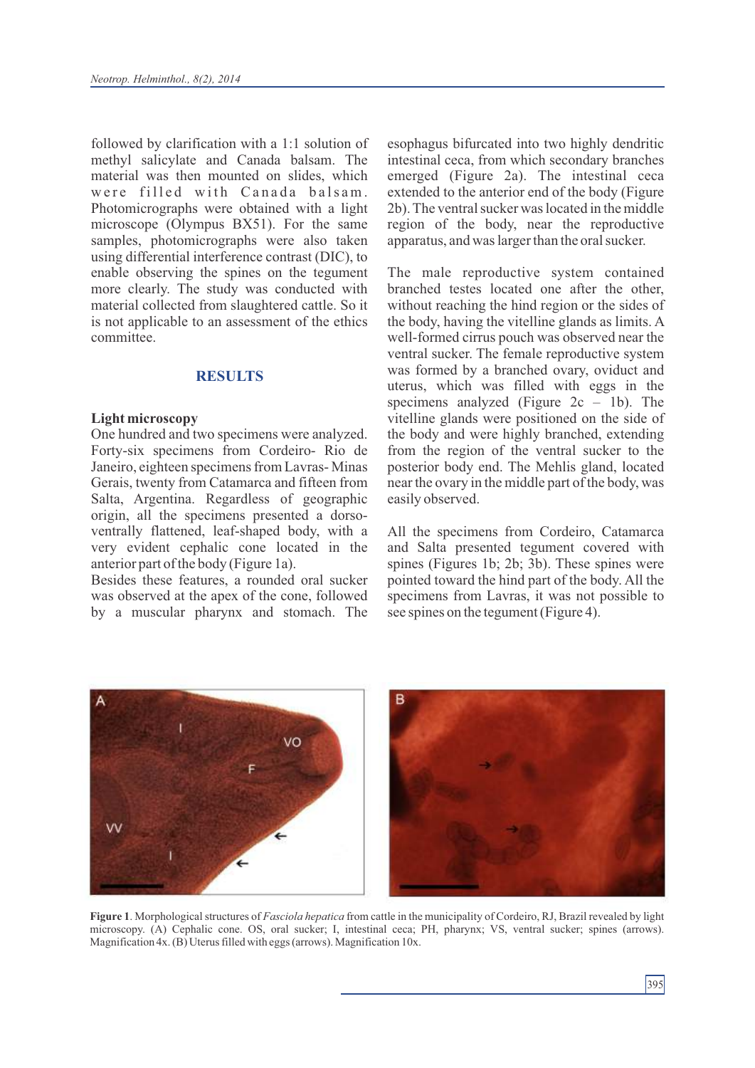followed by clarification with a 1:1 solution of methyl salicylate and Canada balsam. The material was then mounted on slides, which were filled with Canada balsam. Photomicrographs were obtained with a light microscope (Olympus BX51). For the same samples, photomicrographs were also taken using differential interference contrast (DIC), to enable observing the spines on the tegument more clearly. The study was conducted with material collected from slaughtered cattle. So it is not applicable to an assessment of the ethics committee.

#### **RESULTS**

#### **Light microscopy**

One hundred and two specimens were analyzed. Forty-six specimens from Cordeiro- Rio de Janeiro, eighteen specimens from Lavras- Minas Gerais, twenty from Catamarca and fifteen from Salta, Argentina. Regardless of geographic origin, all the specimens presented a dorsoventrally flattened, leaf-shaped body, with a very evident cephalic cone located in the anterior part of the body (Figure 1a).

Besides these features, a rounded oral sucker was observed at the apex of the cone, followed by a muscular pharynx and stomach. The esophagus bifurcated into two highly dendritic intestinal ceca, from which secondary branches emerged (Figure 2a). The intestinal ceca extended to the anterior end of the body (Figure 2b). The ventral sucker was located in the middle region of the body, near the reproductive apparatus, and was larger than the oral sucker.

The male reproductive system contained branched testes located one after the other, without reaching the hind region or the sides of the body, having the vitelline glands as limits. A well-formed cirrus pouch was observed near the ventral sucker. The female reproductive system was formed by a branched ovary, oviduct and uterus, which was filled with eggs in the specimens analyzed (Figure  $2c - 1b$ ). The vitelline glands were positioned on the side of the body and were highly branched, extending from the region of the ventral sucker to the posterior body end. The Mehlis gland, located near the ovary in the middle part of the body, was easily observed.

All the specimens from Cordeiro, Catamarca and Salta presented tegument covered with spines (Figures 1b; 2b; 3b). These spines were pointed toward the hind part of the body. All the specimens from Lavras, it was not possible to see spines on the tegument (Figure 4).



**Figure 1**. Morphological structures of *Fasciola hepatica* from cattle in the municipality of Cordeiro, RJ, Brazil revealed by light microscopy. (A) Cephalic cone. OS, oral sucker; I, intestinal ceca; PH, pharynx; VS, ventral sucker; spines (arrows). Magnification 4x. (B) Uterus filled with eggs (arrows). Magnification 10x.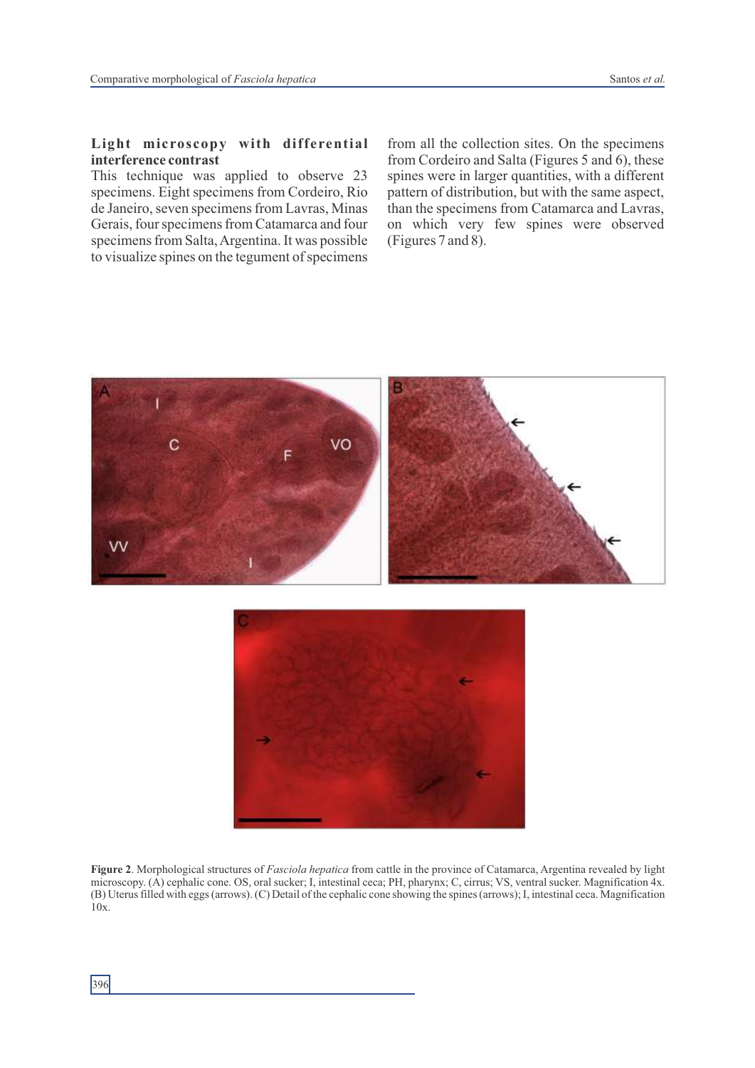### **Light microscopy with differential interference contrast**

This technique was applied to observe 23 specimens. Eight specimens from Cordeiro, Rio de Janeiro, seven specimens from Lavras, Minas Gerais, four specimens from Catamarca and four specimens from Salta, Argentina. It was possible to visualize spines on the tegument of specimens

from all the collection sites. On the specimens from Cordeiro and Salta (Figures 5 and 6), these spines were in larger quantities, with a different pattern of distribution, but with the same aspect, than the specimens from Catamarca and Lavras, on which very few spines were observed (Figures 7 and 8).





**Figure 2**. Morphological structures of *Fasciola hepatica* from cattle in the province of Catamarca, Argentina revealed by light microscopy. (A) cephalic cone. OS, oral sucker; I, intestinal ceca; PH, pharynx; C, cirrus; VS, ventral sucker. Magnification 4x. (B) Uterus filled with eggs (arrows). (C) Detail of the cephalic cone showing the spines (arrows); I, intestinal ceca. Magnification 10x.

396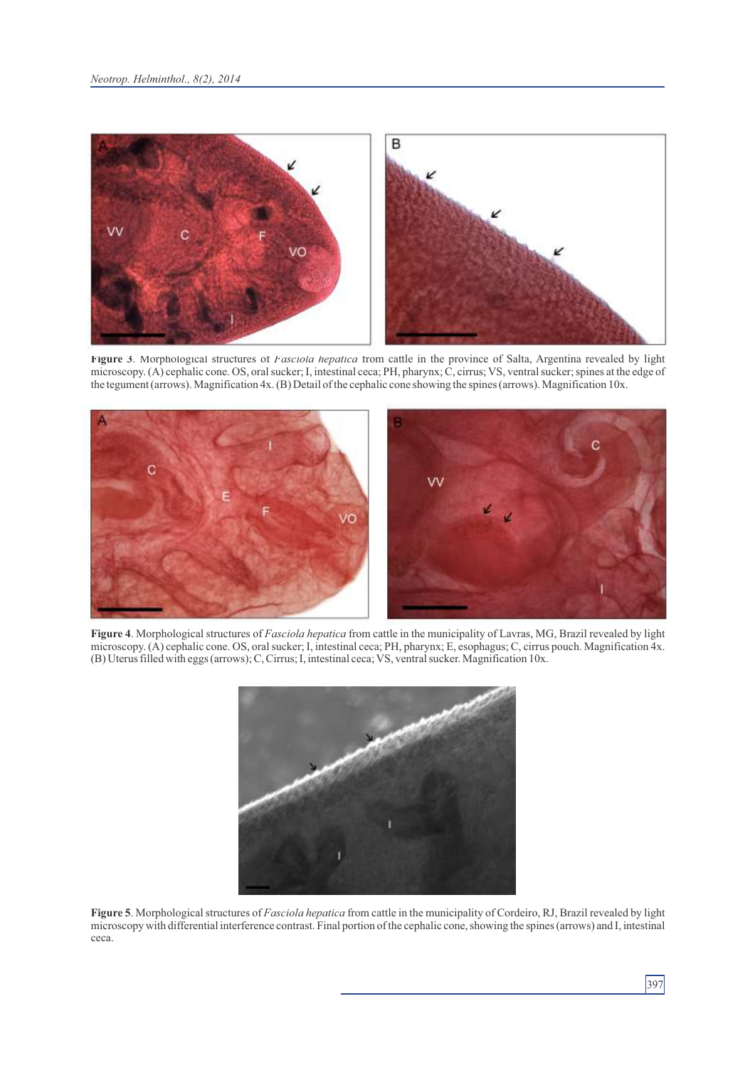

**Figure 3**. Morphological structures of *Fasciola hepatica* from cattle in the province of Salta, Argentina revealed by light microscopy. (A) cephalic cone. OS, oral sucker; I, intestinal ceca; PH, pharynx; C, cirrus; VS, ventral sucker; spines at the edge of the tegument (arrows). Magnification 4x. (B) Detail of the cephalic cone showing the spines (arrows). Magnification 10x.



**Figure 4**. Morphological structures of *Fasciola hepatica* from cattle in the municipality of Lavras, MG, Brazil revealed by light microscopy. (A) cephalic cone. OS, oral sucker; I, intestinal ceca; PH, pharynx; E, esophagus; C, cirrus pouch. Magnification 4x. (B) Uterus filled with eggs (arrows); C, Cirrus; I, intestinal ceca; VS, ventral sucker. Magnification 10x.



**Figure 5**. Morphological structures of *Fasciola hepatica* from cattle in the municipality of Cordeiro, RJ, Brazil revealed by light microscopy with differential interference contrast. Final portion of the cephalic cone, showing the spines (arrows) and I, intestinal ceca.

397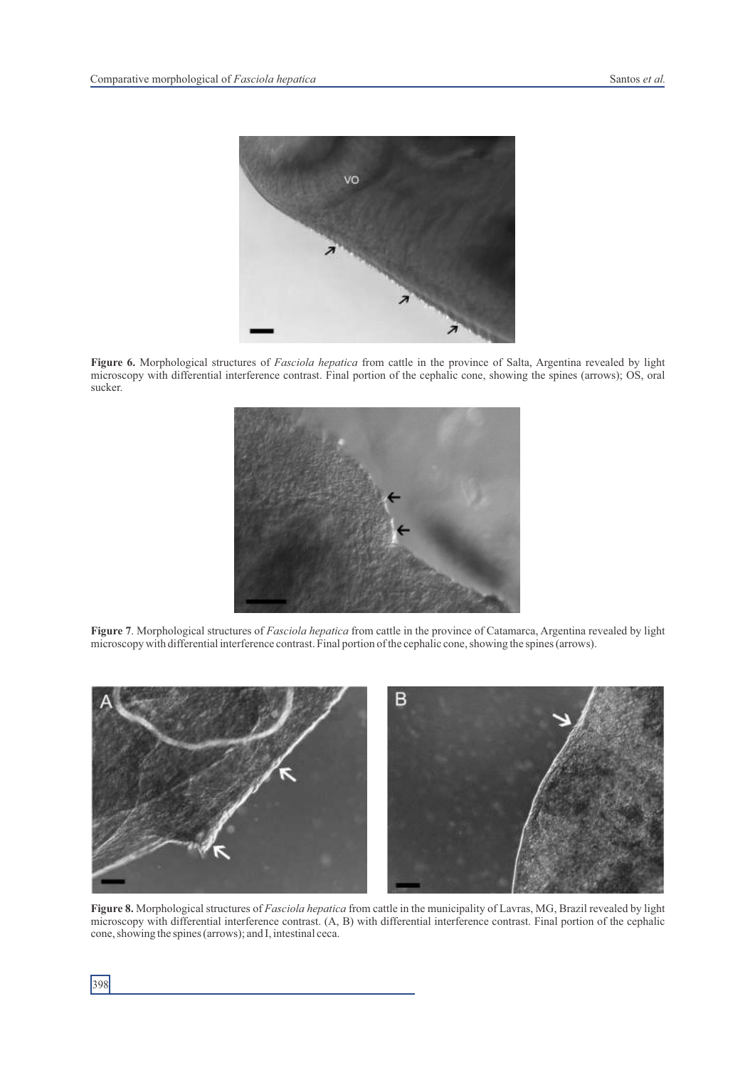

**Figure 6.** Morphological structures of *Fasciola hepatica* from cattle in the province of Salta, Argentina revealed by light microscopy with differential interference contrast. Final portion of the cephalic cone, showing the spines (arrows); OS, oral sucker.



**Figure 7**. Morphological structures of *Fasciola hepatica* from cattle in the province of Catamarca, Argentina revealed by light microscopy with differential interference contrast. Final portion of the cephalic cone, showing the spines (arrows).



**Figure 8.** Morphological structures of *Fasciola hepatica* from cattle in the municipality of Lavras, MG, Brazil revealed by light microscopy with differential interference contrast. (A, B) with differential interference contrast. Final portion of the cephalic cone, showing the spines (arrows); and I, intestinal ceca.

398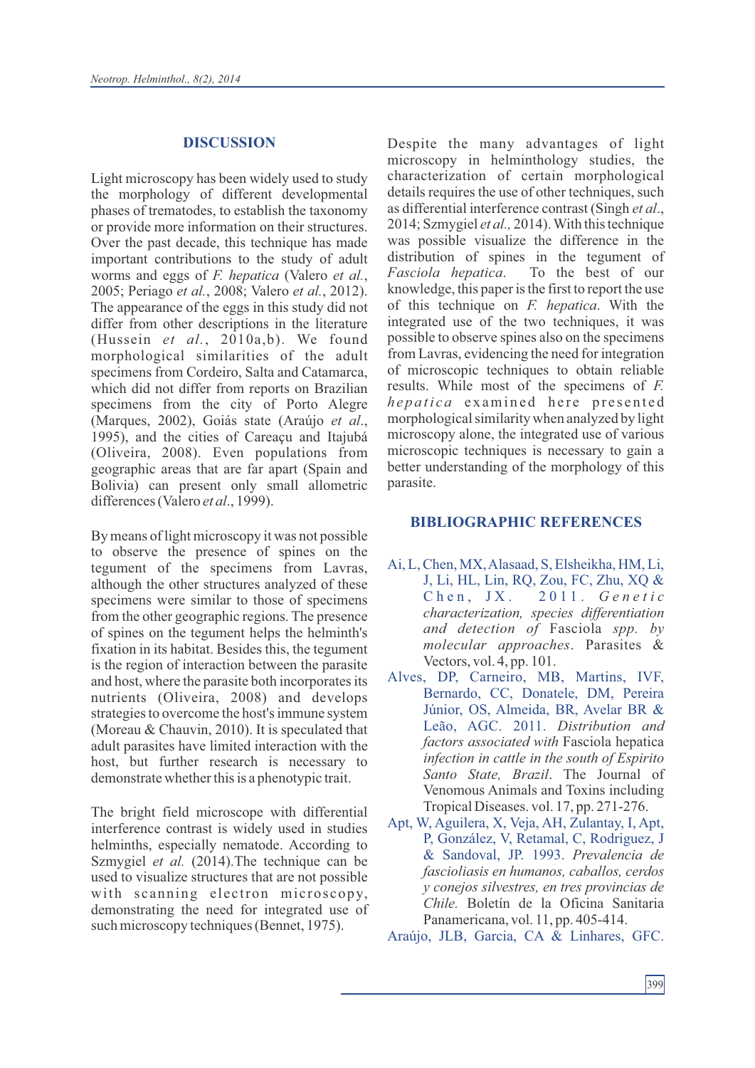#### **DISCUSSION**

Light microscopy has been widely used to study the morphology of different developmental phases of trematodes, to establish the taxonomy or provide more information on their structures. Over the past decade, this technique has made important contributions to the study of adult worms and eggs of *F. hepatica* (Valero *et al.*, 2005; Periago *et al.*, 2008; Valero *et al.*, 2012). The appearance of the eggs in this study did not differ from other descriptions in the literature (Hussein *et al.*, 2010a,b). We found morphological similarities of the adult specimens from Cordeiro, Salta and Catamarca, which did not differ from reports on Brazilian specimens from the city of Porto Alegre (Marques, 2002), Goiás state (Araújo *et al*., 1995), and the cities of Careaçu and Itajubá (Oliveira, 2008). Even populations from geographic areas that are far apart (Spain and Bolivia) can present only small allometric differences (Valero *et al*., 1999).

By means of light microscopy it was not possible to observe the presence of spines on the tegument of the specimens from Lavras, although the other structures analyzed of these specimens were similar to those of specimens from the other geographic regions. The presence of spines on the tegument helps the helminth's fixation in its habitat. Besides this, the tegument is the region of interaction between the parasite and host, where the parasite both incorporates its nutrients (Oliveira, 2008) and develops strategies to overcome the host's immune system (Moreau & Chauvin, 2010). It is speculated that adult parasites have limited interaction with the host, but further research is necessary to demonstrate whether this is a phenotypic trait.

The bright field microscope with differential interference contrast is widely used in studies helminths, especially nematode. According to Szmygiel *et al.* (2014). The technique can be used to visualize structures that are not possible with scanning electron microscopy, demonstrating the need for integrated use of such microscopy techniques (Bennet, 1975).

Despite the many advantages of light microscopy in helminthology studies, the characterization of certain morphological details requires the use of other techniques, such as differential interference contrast (Singh *et al*., 2014; Szmygiel *et al.,* 2014). With this technique was possible visualize the difference in the distribution of spines in the tegument of *Fasciola hepatica*. To the best of our knowledge, this paper is the first to report the use of this technique on *F. hepatica*. With the integrated use of the two techniques, it was possible to observe spines also on the specimens from Lavras, evidencing the need for integration of microscopic techniques to obtain reliable results. While most of the specimens of *F. hepatica* examined here presented morphological similarity when analyzed by light microscopy alone, the integrated use of various microscopic techniques is necessary to gain a better understanding of the morphology of this parasite.

#### **BIBLIOGRAPHIC REFERENCES**

- Ai, L, Chen, MX, Alasaad, S, Elsheikha, HM, Li, J, Li, HL, Lin, RQ, Zou, FC, Zhu, XQ & C h e n , J X . 2 0 1 1 . *G e n e t i c characterization, species differentiation and detection of* Fasciola *spp. by molecular approaches*. Parasites & Vectors, vol. 4, pp. 101.
- Alves, DP, Carneiro, MB, Martins, IVF, Bernardo, CC, Donatele, DM, Pereira Júnior, OS, Almeida, BR, Avelar BR & Leão, AGC. 2011. *Distribution and factors associated with* Fasciola hepatica *infection in cattle in the south of Espirito Santo State, Brazil*. The Journal of Venomous Animals and Toxins including Tropical Diseases. vol. 17, pp. 271-276.
- Apt, W, Aguilera, X, Veja, AH, Zulantay, I, Apt, P, González, V, Retamal, C, Rodriguez, J & Sandoval, JP. 1993. *Prevalencia de fascioliasis en humanos, caballos, cerdos y conejos silvestres, en tres provincias de Chile.* Boletín de la Oficina Sanitaria Panamericana, vol. 11, pp. 405-414.

Araújo, JLB, Garcia, CA & Linhares, GFC.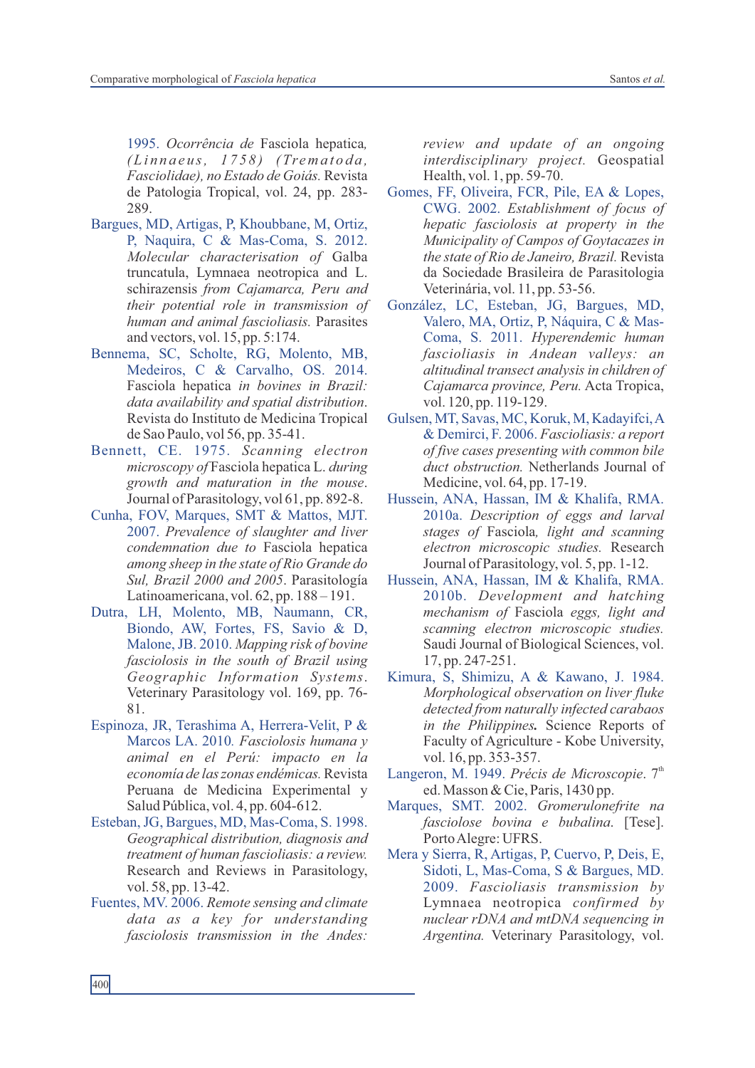1995. *Ocorrência de* Fasciola hepatica*, ( L i n n a e u s, 1 7 5 8 ) ( Trema t o d a , Fasciolidae), no Estado de Goiás.* Revista de Patologia Tropical, vol. 24, pp. 283- 289.

- Bargues, MD, Artigas, P, Khoubbane, M, Ortiz, P, Naquira, C & Mas-Coma, S. 2012. *Molecular characterisation of* Galba truncatula, Lymnaea neotropica and L. schirazensis *from Cajamarca, Peru and their potential role in transmission of human and animal fascioliasis.* Parasites and vectors, vol. 15, pp. 5:174.
- Bennema, SC, Scholte, RG, Molento, MB, Medeiros, C & Carvalho, OS. 2014. Fasciola hepatica *in bovines in Brazil: data availability and spatial distribution*. Revista do Instituto de Medicina Tropical de Sao Paulo, vol 56, pp. 35-41.
- Bennett, CE. 1975. *Scanning electron microscopy of* Fasciola hepatica L. *during growth and maturation in the mouse*. Journal of Parasitology, vol 61, pp. 892-8.
- Cunha, FOV, Marques, SMT & Mattos, MJT. 2007. *Prevalence of slaughter and liver condemnation due to* Fasciola hepatica *among sheep in the state of Rio Grande do Sul, Brazil 2000 and 2005*. Parasitología Latinoamericana, vol. 62, pp. 188 – 191.
- Dutra, LH, Molento, MB, Naumann, CR, Biondo, AW, Fortes, FS, Savio & D, Malone, JB. 2010. *Mapping risk of bovine fasciolosis in the south of Brazil using Geographic Information Systems*. Veterinary Parasitology vol. 169, pp. 76- 81.
- Espinoza, JR, Terashima A, Herrera-Velit, P & Marcos LA. 2010*. Fasciolosis humana y animal en el Perú: impacto en la economía de las zonas endémicas.*Revista Peruana de Medicina Experimental y Salud Pública, vol. 4, pp. 604-612.
- Esteban, JG, Bargues, MD, Mas-Coma, S. 1998. *Geographical distribution, diagnosis and treatment of human fascioliasis: a review.*  Research and Reviews in Parasitology, vol. 58, pp. 13-42.
- Fuentes, MV. 2006. *Remote sensing and climate data as a key for understanding fasciolosis transmission in the Andes:*

*review and update of an ongoing interdisciplinary project.* Geospatial Health, vol. 1, pp. 59-70.

- Gomes, FF, Oliveira, FCR, Pile, EA & Lopes, CWG. 2002. *Establishment of focus of hepatic fasciolosis at property in the Municipality of Campos of Goytacazes in the state of Rio de Janeiro, Brazil.* Revista da Sociedade Brasileira de Parasitologia Veterinária, vol. 11, pp. 53-56.
- González, LC, Esteban, JG, Bargues, MD, Valero, MA, Ortiz, P, Náquira, C & Mas-Coma, S. 2011. *Hyperendemic human fascioliasis in Andean valleys: an altitudinal transect analysis in children of Cajamarca province, Peru.* Acta Tropica, vol. 120, pp. 119-129.
- Gulsen, MT, Savas, MC, Koruk, M, Kadayifci, A & Demirci, F. 2006. *Fascioliasis: a report of five cases presenting with common bile duct obstruction.* Netherlands Journal of Medicine, vol. 64, pp. 17-19.
- Hussein, ANA, Hassan, IM & Khalifa, RMA. 2010a. *Description of eggs and larval stages of* Fasciola*, light and scanning electron microscopic studies.* Research Journal of Parasitology, vol. 5, pp. 1-12.
- Hussein, ANA, Hassan, IM & Khalifa, RMA. 2010b. *Development and hatching mechanism of* Fasciola *eggs, light and scanning electron microscopic studies.*  Saudi Journal of Biological Sciences, vol. 17, pp. 247-251.
- Kimura, S, Shimizu, A & Kawano, J. 1984. *Morphological observation on liver fluke detected from naturally infected carabaos in the Philippines.* Science Reports of Faculty of Agriculture - Kobe University, vol. 16, pp. 353-357.
- Langeron, M. 1949. Précis de Microscopie. 7<sup>th</sup> ed. Masson & Cie, Paris, 1430 pp.
- Marques, SMT. 2002. *Gromerulonefrite na fasciolose bovina e bubalina*. [Tese]. Porto Alegre: UFRS.
- Mera y Sierra, R, Artigas, P, Cuervo, P, Deis, E, Sidoti, L, Mas-Coma, S & Bargues, MD. 2009. *Fascioliasis transmission by* Lymnaea neotropica *confirmed by nuclear rDNA and mtDNA sequencing in Argentina.* Veterinary Parasitology, vol.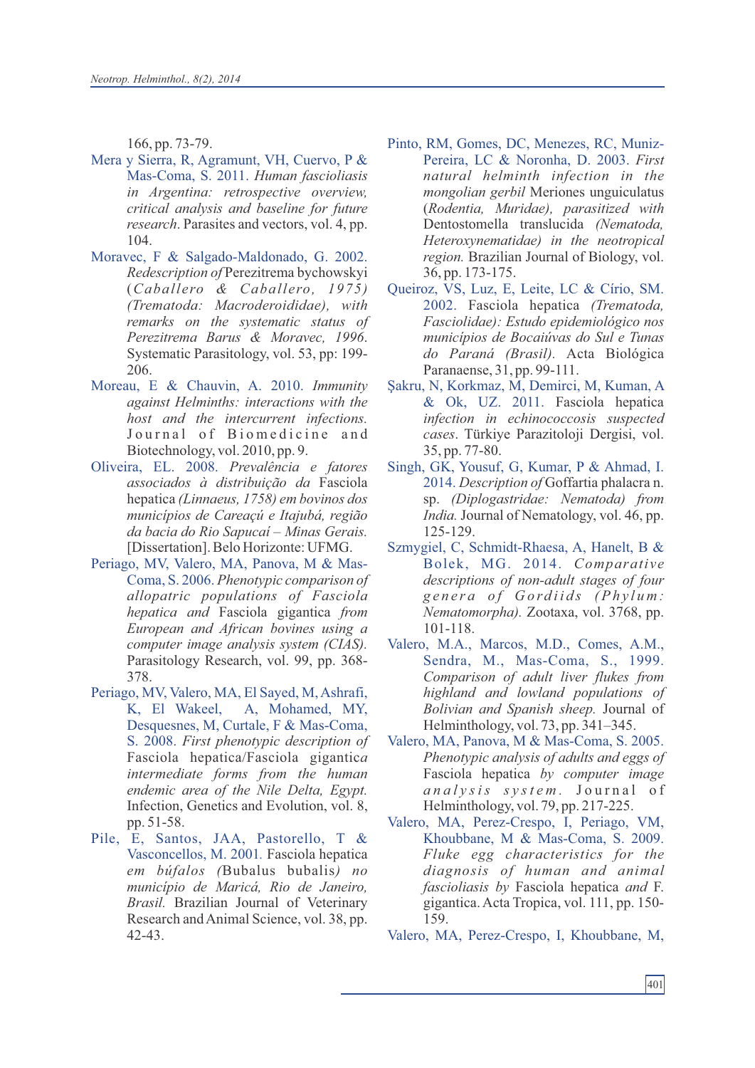166, pp. 73-79.

- Mera y Sierra, R, Agramunt, VH, Cuervo, P & Mas-Coma, S. 2011. *Human fascioliasis in Argentina: retrospective overview, critical analysis and baseline for future research*. Parasites and vectors, vol. 4, pp. 104.
- Moravec, F & Salgado-Maldonado, G. 2002. *Redescription of* Perezitrema bychowskyi (*Caballero & Caballero, 1975) (Trematoda: Macroderoididae), with remarks on the systematic status of Perezitrema Barus & Moravec, 1996*. Systematic Parasitology, vol. 53, pp: 199- 206.
- Moreau, E & Chauvin, A. 2010. *Immunity against Helminths: interactions with the host and the intercurrent infections.* Journal of Biomedicine and Biotechnology, vol. 2010, pp. 9.
- Oliveira, EL. 2008. *Prevalência e fatores associados à distribuição da* Fasciola hepatica *(Linnaeus, 1758) em bovinos dos municípios de Careaçú e Itajubá, região da bacia do Rio Sapucaí – Minas Gerais.* [Dissertation]. Belo Horizonte: UFMG.
- Periago, MV, Valero, MA, Panova, M & Mas-Coma, S. 2006. *Phenotypic comparison of allopatric populations of Fasciola hepatica and* Fasciola gigantica *from European and African bovines using a computer image analysis system (CIAS).* Parasitology Research, vol. 99, pp. 368- 378.
- Periago, MV, Valero, MA, El Sayed, M, Ashrafi, K, El Wakeel, A, Mohamed, MY, Desquesnes, M, Curtale, F & Mas-Coma, S. 2008. *First phenotypic description of*  Fasciola hepatica/Fasciola gigantic*a intermediate forms from the human endemic area of the Nile Delta, Egypt.* Infection, Genetics and Evolution, vol. 8, pp. 51-58.
- Pile, E, Santos, JAA, Pastorello, T & Vasconcellos, M. 2001*.* Fasciola hepatica *em búfalos (*Bubalus bubalis*) no município de Maricá, Rio de Janeiro, Brasil.* Brazilian Journal of Veterinary Research and Animal Science, vol. 38, pp. 42-43.
- Pinto, RM, Gomes, DC, Menezes, RC, Muniz-Pereira, LC & Noronha, D. 2003. *First natural helminth infection in the mongolian gerbil* Meriones unguiculatus (*Rodentia, Muridae), parasitized with*  Dentostomella translucida *(Nematoda, Heteroxynematidae) in the neotropical region.* Brazilian Journal of Biology, vol. 36, pp. 173-175.
- Queiroz, VS, Luz, E, Leite, LC & Círio, SM. 2002. Fasciola hepatica *(Trematoda, Fasciolidae): Estudo epidemiológico nos municípios de Bocaiúvas do Sul e Tunas do Paraná (Brasil).* Acta Biológica Paranaense, 31, pp. 99-111.
- Şakru, N, Korkmaz, M, Demirci, M, Kuman, A & Ok, UZ. 2011. Fasciola hepatica *infection in echinococcosis suspected cases*. Türkiye Parazitoloji Dergisi, vol. 35, pp. 77-80.
- Singh, GK, Yousuf, G, Kumar, P & Ahmad, I. 2014. *Description of* Goffartia phalacra n. sp. *(Diplogastridae: Nematoda) from India.* Journal of Nematology, vol. 46, pp. 125-129.
- Szmygiel, C, Schmidt-Rhaesa, A, Hanelt, B & Bolek, MG. 2014. *Comparative descriptions of non-adult stages of four g e n e r a o f G o rd i i d s (Ph y l u m : Nematomorpha).* Zootaxa, vol. 3768, pp. 101-118.
- Valero, M.A., Marcos, M.D., Comes, A.M., Sendra, M., Mas-Coma, S., 1999. *Comparison of adult liver flukes from highland and lowland populations of Bolivian and Spanish sheep.* Journal of Helminthology, vol. 73, pp. 341–345.
- Valero, MA, Panova, M & Mas-Coma, S. 2005. *Phenotypic analysis of adults and eggs of*  Fasciola hepatica *by computer image a n a l y sis s y st e m .* J o u r n a l o f Helminthology, vol. 79, pp. 217-225.
- Valero, MA, Perez-Crespo, I, Periago, VM, Khoubbane, M & Mas-Coma, S. 2009. *Fluke egg characteristics for the diagnosis of human and animal fascioliasis by* Fasciola hepatica *and* F. gigantica. Acta Tropica, vol. 111, pp. 150- 159.
- Valero, MA, Perez-Crespo, I, Khoubbane, M,